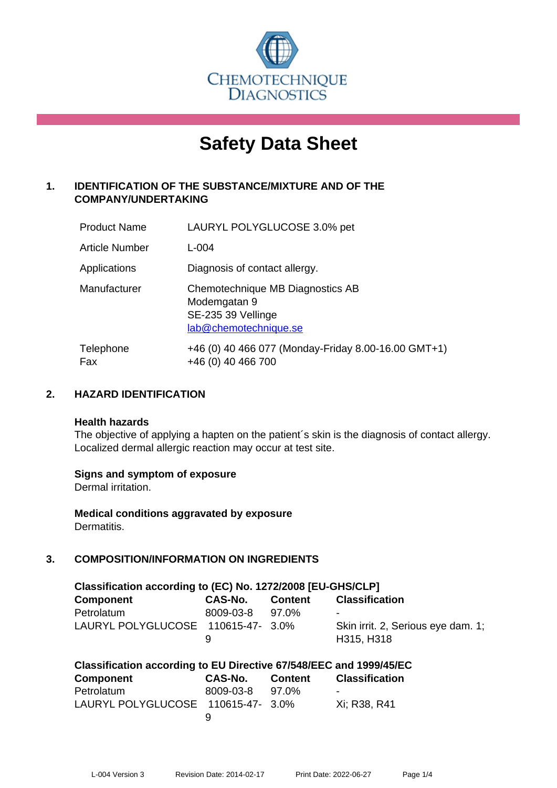

# **Safety Data Sheet**

# **1. IDENTIFICATION OF THE SUBSTANCE/MIXTURE AND OF THE COMPANY/UNDERTAKING**

| <b>Product Name</b>   | LAURYL POLYGLUCOSE 3.0% pet                                                                     |
|-----------------------|-------------------------------------------------------------------------------------------------|
| <b>Article Number</b> | $L - 004$                                                                                       |
| Applications          | Diagnosis of contact allergy.                                                                   |
| Manufacturer          | Chemotechnique MB Diagnostics AB<br>Modemgatan 9<br>SE-235 39 Vellinge<br>lab@chemotechnique.se |
| Telephone<br>Fax      | +46 (0) 40 466 077 (Monday-Friday 8.00-16.00 GMT+1)<br>+46 (0) 40 466 700                       |

## **2. HAZARD IDENTIFICATION**

#### **Health hazards**

The objective of applying a hapten on the patient's skin is the diagnosis of contact allergy. Localized dermal allergic reaction may occur at test site.

## **Signs and symptom of exposure**

Dermal irritation.

**Medical conditions aggravated by exposure** Dermatitis.

# **3. COMPOSITION/INFORMATION ON INGREDIENTS**

| Classification according to (EC) No. 1272/2008 [EU-GHS/CLP] |           |                |                                    |  |  |
|-------------------------------------------------------------|-----------|----------------|------------------------------------|--|--|
| <b>Component</b>                                            | CAS-No.   | <b>Content</b> | <b>Classification</b>              |  |  |
| Petrolatum                                                  | 8009-03-8 | 97.0%          | $\overline{\phantom{a}}$           |  |  |
| LAURYL POLYGLUCOSE 110615-47- 3.0%                          |           |                | Skin irrit. 2, Serious eye dam. 1; |  |  |
|                                                             | 9         |                | H315, H318                         |  |  |

| Classification according to EU Directive 67/548/EEC and 1999/45/EC |                 |         |                          |  |  |
|--------------------------------------------------------------------|-----------------|---------|--------------------------|--|--|
| <b>Component</b>                                                   | CAS-No.         | Content | <b>Classification</b>    |  |  |
| Petrolatum                                                         | 8009-03-8 97.0% |         | $\overline{\phantom{0}}$ |  |  |
| LAURYL POLYGLUCOSE 110615-47- 3.0%                                 |                 |         | Xi: R38, R41             |  |  |
|                                                                    | u               |         |                          |  |  |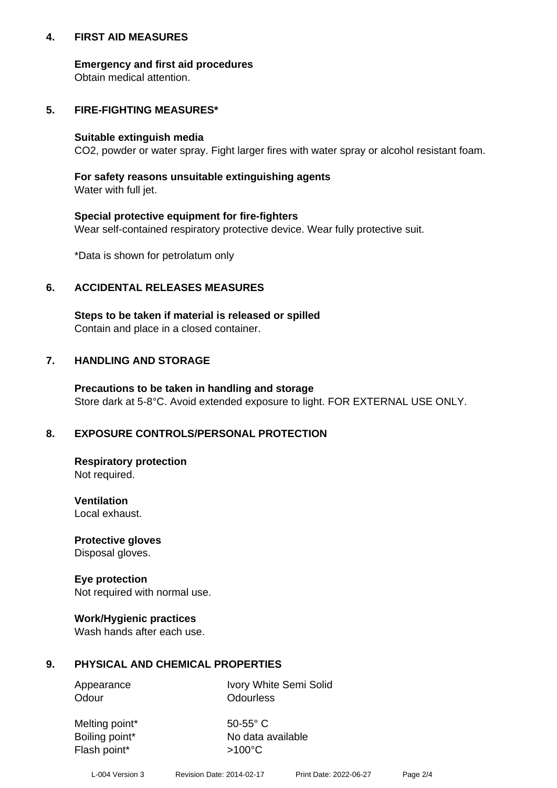## **4. FIRST AID MEASURES**

## **Emergency and first aid procedures**

Obtain medical attention.

# **5. FIRE-FIGHTING MEASURES\***

#### **Suitable extinguish media**

CO2, powder or water spray. Fight larger fires with water spray or alcohol resistant foam.

# **For safety reasons unsuitable extinguishing agents**

Water with full jet.

## **Special protective equipment for fire-fighters**

Wear self-contained respiratory protective device. Wear fully protective suit.

\*Data is shown for petrolatum only

## **6. ACCIDENTAL RELEASES MEASURES**

**Steps to be taken if material is released or spilled** Contain and place in a closed container.

# **7. HANDLING AND STORAGE**

**Precautions to be taken in handling and storage** Store dark at 5-8°C. Avoid extended exposure to light. FOR EXTERNAL USE ONLY.

# **8. EXPOSURE CONTROLS/PERSONAL PROTECTION**

**Respiratory protection** Not required.

**Ventilation** Local exhaust.

**Protective gloves** Disposal gloves.

#### **Eye protection** Not required with normal use.

## **Work/Hygienic practices**

Wash hands after each use.

## **9. PHYSICAL AND CHEMICAL PROPERTIES**

Odour **Odourless** 

Appearance Ivory White Semi Solid

Melting point\* 50-55° C Flash point\*  $>100^{\circ}$ C

Boiling point\* No data available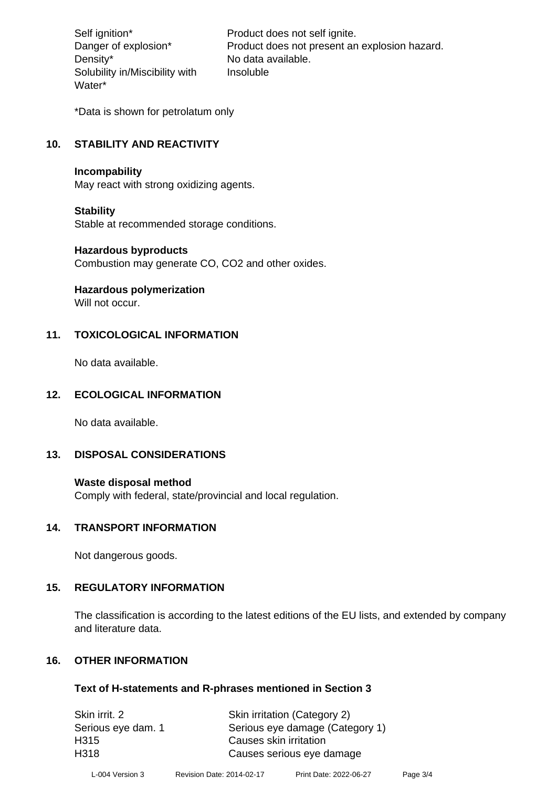Density\* No data available. Solubility in/Miscibility with Water\*

Self ignition\* Product does not self ignite. Danger of explosion\* Product does not present an explosion hazard. Insoluble

\*Data is shown for petrolatum only

# **10. STABILITY AND REACTIVITY**

#### **Incompability**

May react with strong oxidizing agents.

#### **Stability**

Stable at recommended storage conditions.

#### **Hazardous byproducts**

Combustion may generate CO, CO2 and other oxides.

**Hazardous polymerization**

Will not occur.

## **11. TOXICOLOGICAL INFORMATION**

No data available.

## **12. ECOLOGICAL INFORMATION**

No data available.

## **13. DISPOSAL CONSIDERATIONS**

#### **Waste disposal method**

Comply with federal, state/provincial and local regulation.

#### **14. TRANSPORT INFORMATION**

Not dangerous goods.

## **15. REGULATORY INFORMATION**

The classification is according to the latest editions of the EU lists, and extended by company and literature data.

## **16. OTHER INFORMATION**

#### **Text of H-statements and R-phrases mentioned in Section 3**

| Skin irritation (Category 2)    |
|---------------------------------|
| Serious eye damage (Category 1) |
| Causes skin irritation          |
| Causes serious eye damage       |
|                                 |